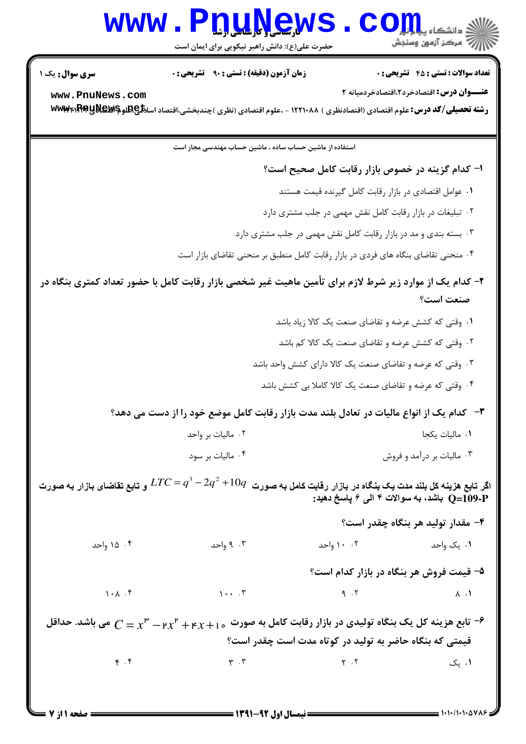## WWW.PnuNews.com ||// مرکز آزمون وسنجش

حضرت علی(ع): دانش راهبر نیکویی برای ایمان است

**تعداد سوالات : تستي : 45 - تشريحي : 0** 

**زمان آزمون (دقیقه) : تستی : ۹۰٪ تشریحی : 0** 

**سری سوال :** یک ۱

عنــوان درس: اقتصادخرد2،اقتصادخردمیانه ٢

www.PnuNews.com رشته تحصیلی/کد درس: علوم اقتصادی (اقتصادنظری ) ۱۲۲۱۰۸۸ - ،علوم اقتصادی (نظری )چندبخشی،اقتصاد اسلالچ لیا بهایا www

استفاده از ماشین حساب ساده ، ماشین حساب مهندسی مجاز است

ا- كدام گزينه در خصوص بازار رقابت كامل صحيح است؟ ٠١ عوامل اقتصادي در بازار رقابت كامل گيرنده قيمت هستند

۰۲ تبلیغات در بازار رقابت کامل نقش مهمی در جلب مشتری دارد

۰۳ بسته بندی و مد در بازار رقابت کامل نقش مهمی در جلب مشتری دارد

۰۴ منحنی تقاضای بنگاه های فردی در بازار رقابت کامل منطبق بر منحنی تقاضای بازار است

۲– کدام یک از موارد زیر شرط لازم برای تأمین ماهیت غیر شخصی بازار رقابت کامل با حضور تعداد کمتری بنگاه در صنعت است؟

٠١. وقتى كه كشش عرضه و تقاضاى صنعت يك كالا زياد باشد

۰۲ وقتی که کشش عرضه و تقاضای صنعت یک کالا کم باشد

۰۳ وقتی که عرضه و تقاضای صنعت یک کالا دارای کشش واحد باشد

۰۴ وقتی که عرضه و تقاضای صنعت یک کالا کاملا ہے کشش باشد

٣- كدام يك از انواع ماليات در تعادل بلند مدت بازار رقابت كامل موضع خود را از دست مي دهد؟

- ٠١. ماليات يكحا
- ۰۳ مالیات بر درآمد و فروش

اگر تابع هزینه کل بلند مدت یک بنگاه در بازار رقابت کامل به صورت  $10q$  +  $2q^2$   $2q^2$  و تابع تقاضای بازار به صورت O=109-P باشد، به سوالات ۴ الم ۶ باسخ دهید:

۰۲ ماليات پر واحد

۰۴ ماليات پر سود

 $\cdots$ 

- ۴- مقدار تولید هر بنگاه چقدر است؟ ۰۴ ۱۵ واحد ۰۳ واحد ۰۰ ۱۰ واحد ۰۱ یک واحد
	- ۵- قیمت فروش هر بنگاه در بازار کدام است؟  $9.7$  $\Lambda$  .  $\Lambda$

تابع هزینه کل یک بنگاه تولیدی در بازار رقابت کامل به صورت  $x+1+\mathsf{F} x+\mathsf{F}$  – ۳ $C=x^\mathsf{w}-C=x^\mathsf{w}$  می باشد. حداقل  $\mathsf{P}$ قیمتی که بنگاه حاضر به تولید در کوتاه مدت است چقدر است؟  $f. f$  $\mathbf{r}$ . $\mathbf{r}$  $Y \cdot Y$ ۰۱. یک

 $1.4.7$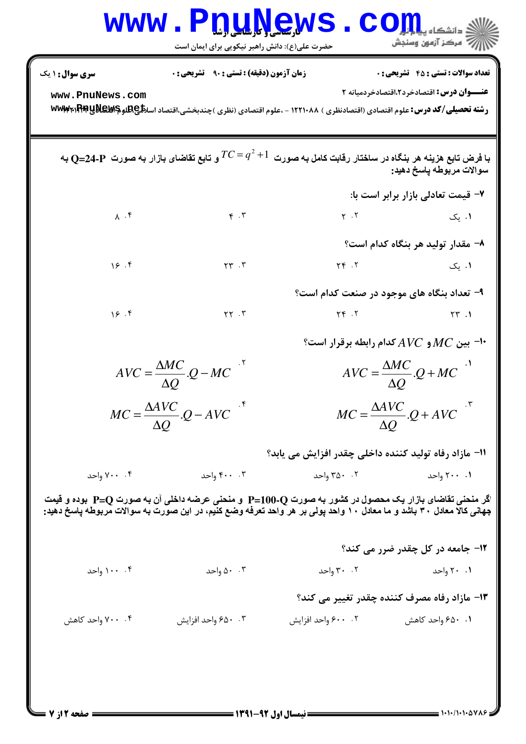| <b>سری سوال :</b> ۱ یک<br>www.PnuNews.com<br>$\Lambda \cdot f$                                                                                                                                                                 | <b>زمان آزمون (دقیقه) : تستی : ۹۰ تشریحی : 0</b><br>$F \cdot T$ | رشته تحصیلی/کد درس: علوم اقتصادی (اقتصادنظری ) ۱۲۲۱۰۸۸ - ،علوم اقتصادی (نظری )چندبخشی،اقتصاد اسلا <b>تیپهلوچالاتیپهاتلاپا،www</b><br>با فرض تابع هزینه هر بنگاه در ساختار رقابت کامل به صورت $C=q^2+1$ و تابع تقاضای بازار به صورت $\bf{Q=}$ 24- به<br>$Y \cdot Y$ | <b>تعداد سوالات : تستی : 45 - تشریحی : 0</b><br><b>عنـــوان درس:</b> اقتصادخرد2،اقتصادخردمیانه ۲<br>سوالات مربوطه پاسخ دهيد:<br>٧- قيمت تعادلي بازار برابر است با: |
|--------------------------------------------------------------------------------------------------------------------------------------------------------------------------------------------------------------------------------|-----------------------------------------------------------------|--------------------------------------------------------------------------------------------------------------------------------------------------------------------------------------------------------------------------------------------------------------------|--------------------------------------------------------------------------------------------------------------------------------------------------------------------|
|                                                                                                                                                                                                                                |                                                                 |                                                                                                                                                                                                                                                                    |                                                                                                                                                                    |
|                                                                                                                                                                                                                                |                                                                 |                                                                                                                                                                                                                                                                    |                                                                                                                                                                    |
|                                                                                                                                                                                                                                |                                                                 |                                                                                                                                                                                                                                                                    |                                                                                                                                                                    |
|                                                                                                                                                                                                                                |                                                                 |                                                                                                                                                                                                                                                                    |                                                                                                                                                                    |
|                                                                                                                                                                                                                                |                                                                 |                                                                                                                                                                                                                                                                    | ۰۱ یک                                                                                                                                                              |
|                                                                                                                                                                                                                                |                                                                 |                                                                                                                                                                                                                                                                    | ۸– مقدار تولید هر بنگاه کدام است؟                                                                                                                                  |
| 19.5                                                                                                                                                                                                                           | YY.7                                                            | $Y \in \mathcal{X}$                                                                                                                                                                                                                                                | ۰۱ یک                                                                                                                                                              |
|                                                                                                                                                                                                                                |                                                                 | ۹- تعداد بنگاه های موجود در صنعت کدام است؟                                                                                                                                                                                                                         |                                                                                                                                                                    |
| 19.7                                                                                                                                                                                                                           | $\gamma \gamma$ . $\gamma$                                      | $Yf$ . $Yf$                                                                                                                                                                                                                                                        | $\mathsf{r} \mathsf{r}$ . The state $\mathsf{r} \mathsf{r}$                                                                                                        |
|                                                                                                                                                                                                                                |                                                                 |                                                                                                                                                                                                                                                                    | $^{\circ}$ ا- بین $MC$ و $AVC$ کدام رابطه برقرار است $^{-1}$                                                                                                       |
|                                                                                                                                                                                                                                | $AVC = \frac{\Delta MC}{\Delta Q}.Q - MC$ <sup>5</sup>          |                                                                                                                                                                                                                                                                    | $AVC = \frac{\Delta MC}{\Delta Q}.Q + MC$ <sup></sup>                                                                                                              |
|                                                                                                                                                                                                                                | $MC = \frac{\Delta AVC}{\Delta Q}.Q - AVC$                      | $MC = \frac{\Delta AVC}{\Delta Q}.Q + AVC$                                                                                                                                                                                                                         |                                                                                                                                                                    |
|                                                                                                                                                                                                                                |                                                                 | 11- مازاد رفاه توليد كننده داخلي چقدر افزايش مي يابد؟                                                                                                                                                                                                              |                                                                                                                                                                    |
| ۰۴ . ۷۰۰ واحد                                                                                                                                                                                                                  | $F \cdot \cdot \cdot$ ۴ واحد                                    | ۰۲ ۲۵۰ واحد                                                                                                                                                                                                                                                        | ۰.۱ ۲۰۰ واحد                                                                                                                                                       |
| اگر منحنی تقاضای بازار یک محصول در کشور به صورت P=100-Q  و منحنی عرضه داخلی آن به صورت P=Q  بوده و قیمت<br>جهانی کالا معادل ۳۰ باشد و ما معادل ۱۰ واحد پولی بر هر واحد تعرفه وضع کنیم، در این صورت به سوالات مربوطه پاسخ دهید: |                                                                 |                                                                                                                                                                                                                                                                    |                                                                                                                                                                    |
|                                                                                                                                                                                                                                |                                                                 |                                                                                                                                                                                                                                                                    | <b>۱۲- جامعه در کل چقدر ضرر می کند؟</b>                                                                                                                            |
| ۰۰ .۰۰ واحد                                                                                                                                                                                                                    | ۰۰ ۵۰ واحد                                                      | ۰۲ ۲۰ واحد                                                                                                                                                                                                                                                         | ۰۱ ۲۰ واحد                                                                                                                                                         |
|                                                                                                                                                                                                                                |                                                                 | ۱۳- مازاد رفاه مصرف کننده چقدر تغییر می کند؟                                                                                                                                                                                                                       |                                                                                                                                                                    |
| ۰۴ . ۷۰۰ واحد کاهش                                                                                                                                                                                                             | ۰۳ م۶۵۰ واحد افزايش                                             | ۰۰ ۶۰۰ واحد افزايش                                                                                                                                                                                                                                                 | ٠١ ٤٥٠ واحد كاهش                                                                                                                                                   |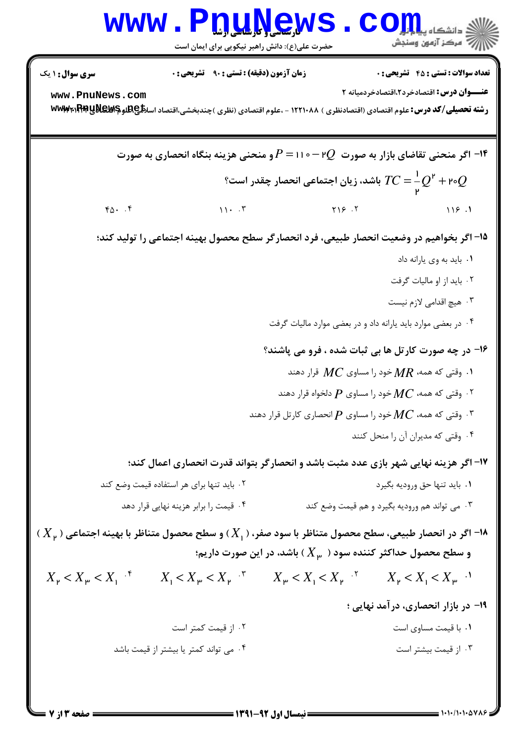| <b>WWW</b>                                                                                                           | <u>LI LLIYET,V</u><br>حضرت علی(ع): دانش راهبر نیکویی برای ایمان است                                                                                                  |                                                                                               |                                                                 | م<br>و دانشگاه پ <b>یایا</b><br>و<br>رآب امرڪز آزمون وسنڊش                                     |
|----------------------------------------------------------------------------------------------------------------------|----------------------------------------------------------------------------------------------------------------------------------------------------------------------|-----------------------------------------------------------------------------------------------|-----------------------------------------------------------------|------------------------------------------------------------------------------------------------|
| <b>سری سوال : ۱ یک</b><br>www.PnuNews.com                                                                            | زمان آزمون (دقیقه) : تستی : ۹۰٪ تشریحی : ۰<br>رشته تحصیلی/کد درس: علوم اقتصادی (اقتصادنظری ) ۱۲۲۱۰۸۸ - ،علوم اقتصادی (نظری )چندبخشی،اقتصاد اسلالچهالهای با با با www |                                                                                               |                                                                 | <b>تعداد سوالات : تستی : 45 گشریحی : 0</b><br><b>عنـــوان درس:</b> اقتصادخرد2،اقتصادخردمیانه ۲ |
|                                                                                                                      | ا– اگر منحنی تقاضای بازار به صورت $Q$ ۲ $\circ$ – ۱۱۰ $P$ و منحنی هزینه بنگاه انحصاری به صورت $\bullet$                                                              |                                                                                               |                                                                 |                                                                                                |
|                                                                                                                      |                                                                                                                                                                      | ° باشد، زیان اجتماعی انحصار چقدر است $TC = \frac{1}{\cdot}Q^{\mathsf{P}} +$ ۲۰ باشد، زیان اجت |                                                                 |                                                                                                |
| $f_0 \cdot \cdot f$                                                                                                  | $11 - 57$                                                                                                                                                            |                                                                                               | $Y \times .V$                                                   | 119.1                                                                                          |
|                                                                                                                      | 1۵– اگر بخواهیم در وضعیت انحصار طبیعی، فرد انحصارگر سطح محصول بهینه اجتماعی را تولید کند؛                                                                            |                                                                                               |                                                                 |                                                                                                |
|                                                                                                                      |                                                                                                                                                                      |                                                                                               |                                                                 | ٠١ بايد به وي يارانه داد                                                                       |
|                                                                                                                      |                                                                                                                                                                      |                                                                                               |                                                                 | ۰۲ باید از او مالیات گرفت                                                                      |
|                                                                                                                      |                                                                                                                                                                      |                                                                                               |                                                                 | ۰۳ هیچ اقدامی لازم نیست                                                                        |
|                                                                                                                      |                                                                                                                                                                      | ۰۴ در بعضی موارد باید پارانه داد و در بعضی موارد مالیات گرفت                                  |                                                                 |                                                                                                |
|                                                                                                                      | ۱۶- در چه صورت کارتل ها بی ثبات شده ، فرو می پاشند؟                                                                                                                  |                                                                                               |                                                                 |                                                                                                |
|                                                                                                                      |                                                                                                                                                                      |                                                                                               | ۰۱ وقتی که همه، $MR$ خود را مساوی $MC$ قرار دهند $\,$           |                                                                                                |
|                                                                                                                      |                                                                                                                                                                      |                                                                                               | ۰۲ وقتی که همه، $MC$ خود را مساوی $P$ دلخواه قرار دهند $^\circ$ |                                                                                                |
|                                                                                                                      |                                                                                                                                                                      | ۰۳ وقتی که همه، $MC$ خود را مساوی $P$ انحصاری کارتل قرار دهند $^\mathfrak{r}$                 |                                                                 |                                                                                                |
|                                                                                                                      |                                                                                                                                                                      |                                                                                               |                                                                 | ۰۴ وقتی که مدیران آن را منحل کنند                                                              |
|                                                                                                                      | ۱۷- اگر هزینه نهایی شهر بازی عدد مثبت باشد و انحصارگر بتواند قدرت انحصاری اعمال کند؛                                                                                 |                                                                                               |                                                                 |                                                                                                |
|                                                                                                                      | ۰۲ باید تنها برای هر استفاده قیمت وضع کند                                                                                                                            |                                                                                               |                                                                 | ٠١. بايد تنها حق وروديه بگيرد                                                                  |
|                                                                                                                      | ۰۴ قیمت را برابر هزینه نهایی قرار دهد                                                                                                                                |                                                                                               | ۰۳ می تواند هم ورودیه بگیرد و هم قیمت وضع کند                   |                                                                                                |
| $(X_\mathsf{p})$ اگر در انحصار طبیعی، سطح محصول متناظر با سود صفر، $(X_1)$ و سطح محصول متناظر با بهینه اجتماعی ( $X$ |                                                                                                                                                                      |                                                                                               |                                                                 |                                                                                                |
|                                                                                                                      |                                                                                                                                                                      | و سطح محصول حداکثر کننده سود ( $X_{\mathfrak{p}}$ ) باشد، در این صورت داریم؛                  |                                                                 |                                                                                                |
| $X_{\rm p} < X_{\rm p} < X_{\rm l}$ <sup>+</sup>                                                                     | $X_1 < X_{\mu} < X_{\mu}$ .                                                                                                                                          | $X_{\nu}$ < $X_{1}$ < $X_{\nu}$ $\cdot$ <sup>r</sup>                                          |                                                                 | $X_{\nu}$ < $X_{\nu}$ < $X_{\nu}$ $\cdot$                                                      |
|                                                                                                                      |                                                                                                                                                                      |                                                                                               |                                                                 | ۱۹- در بازار انحصاری، در آمد نهایی ؛                                                           |
|                                                                                                                      | ۰۲ از قیمت کمتر است                                                                                                                                                  |                                                                                               |                                                                 | ۰۱ با قیمت مساوی است                                                                           |
|                                                                                                                      | ۰۴ می تواند کمتر یا بیشتر از قیمت باشد                                                                                                                               |                                                                                               |                                                                 | ۰۳ از قیمت بیشتر است                                                                           |
|                                                                                                                      |                                                                                                                                                                      |                                                                                               |                                                                 |                                                                                                |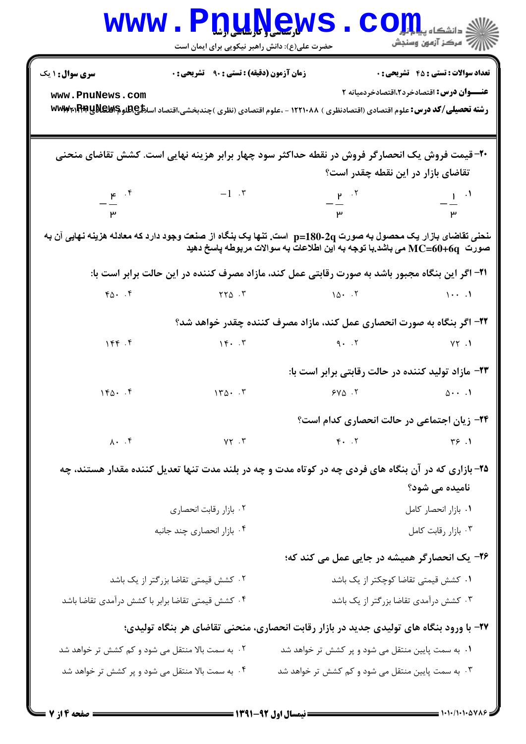| <b>WWW</b>                                        | <b>Warden Hotel Handel</b><br>حضرت علی(ع): دانش راهبر نیکویی برای ایمان است                                                                                                                |                                                   | $\mathbf{C}\mathbf{O}$ $\mathbf{L}\mathbf{L}$ $\mathbf{L}$ $\mathbf{L}$ $\mathbf{L}$ $\mathbf{L}$ $\mathbf{L}$ $\mathbf{L}$<br>سنجش آزمون وسنجش |
|---------------------------------------------------|--------------------------------------------------------------------------------------------------------------------------------------------------------------------------------------------|---------------------------------------------------|-------------------------------------------------------------------------------------------------------------------------------------------------|
| <b>سری سوال : ۱ یک</b>                            | <b>زمان آزمون (دقیقه) : تستی : ۹۰٪ تشریحی : 0</b>                                                                                                                                          |                                                   | <b>تعداد سوالات : تستي : 45 - تشريحي : 0</b>                                                                                                    |
| www.PnuNews.com                                   | رشته تحصیلی/کد درس: علوم اقتصادی (اقتصادنظری ) ۱۲۲۱۰۸۸ - ،علوم اقتصادی (نظری )چندبخشی،اقتصاد اسلا <b>تیپهایی www</b> x۱PPP                                                                 |                                                   | <b>عنـــوان درس:</b> اقتصادخرد2،اقتصادخردمیانه ۲                                                                                                |
|                                                   | +۲- قیمت فروش یک انحصارگر فروش در نقطه حداکثر سود چهار برابر هزینه نهایی است. کشش تقاضای منحنی                                                                                             |                                                   | تقاضای بازار در این نقطه چقدر است؟                                                                                                              |
| $-\frac{r}{r}$ . $^{\circ}$                       | $-1 \cdot$ .                                                                                                                                                                               | $-\frac{P}{I}$ . T                                | $-\frac{1}{2}$ $^{1}$                                                                                                                           |
| $\mathbf{u}$                                      |                                                                                                                                                                                            | <b>Example 19</b>                                 | $\mathbf{p}$                                                                                                                                    |
|                                                   | نخنی تقاضای بازار یک محصول به صورت p=180-2q   است. تنها یک بنگاه از صنعت وجود دارد که معادله هزینه نهایی آن به<br>صورت  MC=60+6q می باشد با توجه به این اطلاعات به سوالات مربوطه پاسخ دهید |                                                   |                                                                                                                                                 |
|                                                   | <b>۳۱</b> - اگر این بنگاه مجبور باشد به صورت رقابتی عمل کند، مازاد مصرف کننده در این حالت برابر است با:                                                                                    |                                                   |                                                                                                                                                 |
| $Y_0 \cdot \cdot Y$                               | $YY\Delta$ . $Y$                                                                                                                                                                           | $\lambda \Delta - \lambda$                        | $\cdots$                                                                                                                                        |
|                                                   |                                                                                                                                                                                            |                                                   | ۲۲- اگر بنگاه به صورت انحصاری عمل کند، مازاد مصرف کننده چقدر خواهد شد؟                                                                          |
| 166.5                                             | $\gamma$ $\gamma$ . $\gamma$                                                                                                                                                               | 9.7                                               | $YY \cdot 1$                                                                                                                                    |
|                                                   |                                                                                                                                                                                            |                                                   | ۲۳- مازاد تولید کننده در حالت رقابتی برابر است با:                                                                                              |
| $160 \cdot .6$                                    | $1 \text{rQ} \cdot \cdot \text{r}$                                                                                                                                                         | $940.7$ $0.1$                                     |                                                                                                                                                 |
|                                                   |                                                                                                                                                                                            |                                                   | ۲۴- زیان اجتماعی در حالت انحصاری کدام است؟                                                                                                      |
| $\lambda \cdot \cdot \cdot f$                     | $YY \cdot Y$                                                                                                                                                                               | $F \cdot T$ $T \cdot T$ $T \cdot T$               |                                                                                                                                                 |
|                                                   | ۲۵- بازاری که در آن بنگاه های فردی چه در کوتاه مدت و چه در بلند مدت تنها تعدیل کننده مقدار هستند، چه                                                                                       |                                                   |                                                                                                                                                 |
|                                                   |                                                                                                                                                                                            |                                                   | نامیده می شود؟                                                                                                                                  |
|                                                   | ۰۲ بازار رقابت انحصاری                                                                                                                                                                     |                                                   | ٠١. بازار انحصار كامل                                                                                                                           |
|                                                   | ۰۴ بازار انحصاری چند جانبه                                                                                                                                                                 |                                                   | ٠٣ بازار رقابت كامل                                                                                                                             |
|                                                   |                                                                                                                                                                                            |                                                   | ۲۶- یک انحصارگر همیشه در جایی عمل می کند که؛                                                                                                    |
|                                                   | ۰۲ کشش قیمتی تقاضا بزرگتر از یک باشد                                                                                                                                                       |                                                   | ٠١ كشش قيمتى تقاضا كوچكتر از يک باشد                                                                                                            |
| ۰۴ کشش قیمتی تقاضا برابر با کشش درآمدی تقاضا باشد |                                                                                                                                                                                            |                                                   | ۰۳ کشش درآمدی تقاضا بزرگتر از یک باشد                                                                                                           |
|                                                   | ۲۷- با ورود بنگاه های تولیدی جدید در بازار رقابت انحصاری، منحنی تقاضای هر بنگاه تولیدی؛                                                                                                    |                                                   |                                                                                                                                                 |
| ۰۲ به سمت بالا منتقل می شود و کم کشش تر خواهد شد  |                                                                                                                                                                                            | ۰۱ به سمت پایین منتقل می شود و پر کشش تر خواهد شد |                                                                                                                                                 |
| ۰۴ به سمت بالا منتقل می شود و پر کشش تر خواهد شد  |                                                                                                                                                                                            | ۰۳ به سمت پایین منتقل می شود و کم کشش تر خواهد شد |                                                                                                                                                 |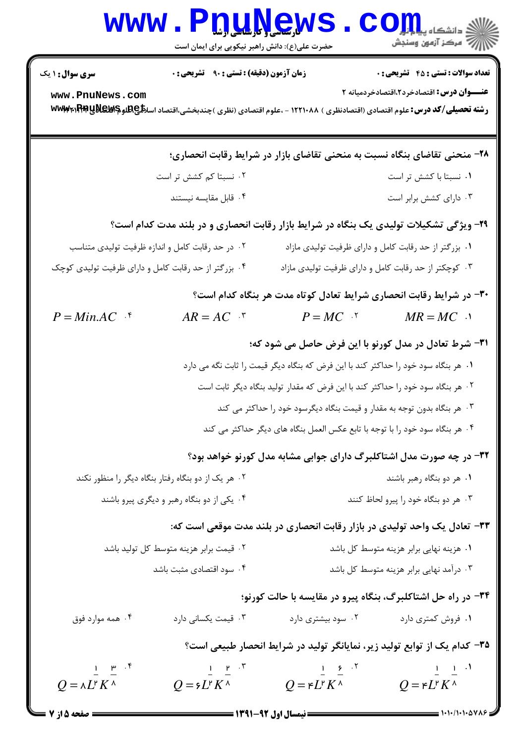| <b>WWW</b>                                                                    | ۷ لار <mark>سیلی ( باریابیل بار</mark> یا<br>حضرت علی(ع): دانش راهبر نیکویی برای ایمان است |                                                                                     | رد دانشڪاه پ <b>يا ۾ ٿو.∕</b><br>ا <mark>ر</mark> ∕ مرڪز آزمون وسنجش                                                                                                          |
|-------------------------------------------------------------------------------|--------------------------------------------------------------------------------------------|-------------------------------------------------------------------------------------|-------------------------------------------------------------------------------------------------------------------------------------------------------------------------------|
| <b>سری سوال : ۱ یک</b>                                                        | <b>زمان آزمون (دقیقه) : تستی : ۹۰٪ تشریحی : 0</b>                                          |                                                                                     | <b>تعداد سوالات : تستي : 45 گشريحي : 0</b>                                                                                                                                    |
| www.PnuNews.com                                                               |                                                                                            |                                                                                     | <b>عنـــوان درس:</b> اقتصادخرد2،اقتصادخردمیانه ۲<br>رشته تحصیلی/کد درس: علوم اقتصادی (اقتصادنظری ) ۱۲۲۱۰۸۸ - ،علوم اقتصادی (نظری )چندبخشی،اقتصاد اسل <b>کلیRیهای www</b> x۱Pp |
|                                                                               |                                                                                            |                                                                                     | ۲۸- منحنی تقاضای بنگاه نسبت به منحنی تقاضای بازار در شرایط رقابت انحصاری؛                                                                                                     |
|                                                                               | ۰۲ نسبتا کم کشش تر است                                                                     |                                                                                     | ٠١ نسبتا با كشش تر است                                                                                                                                                        |
|                                                                               | ۰۴ قابل مقايسه نيستند                                                                      |                                                                                     | ۰۳ دارای کشش برابر است                                                                                                                                                        |
|                                                                               |                                                                                            |                                                                                     | ۲۹- ویژگی تشکیلات تولیدی یک بنگاه در شرایط بازار رقابت انحصاری و در بلند مدت کدام است؟                                                                                        |
|                                                                               | ۰۲ در حد رقابت کامل و اندازه ظرفیت تولیدی متناسب                                           |                                                                                     | ۰۱ بزرگتر از حد رقابت کامل و دارای ظرفیت تولیدی مازاد                                                                                                                         |
| ۰۴ بزرگتر از حد رقابت کامل و دارای ظرفیت تولیدی کوچک                          |                                                                                            |                                                                                     | ۰۳ کوچکتر از حد رقابت کامل و دارای ظرفیت تولیدی مازاد                                                                                                                         |
|                                                                               |                                                                                            |                                                                                     | ۳۰- در شرایط رقابت انحصاری شرایط تعادل کوتاه مدت هر بنگاه کدام است؟                                                                                                           |
| $P = Min. AC$ f                                                               | $AR = AC$ $\cdot$                                                                          | $P = MC$ .                                                                          | $MR = MC$ .                                                                                                                                                                   |
|                                                                               |                                                                                            |                                                                                     | ۳۱– شرط تعادل در مدل کورنو با این فرض حاصل می شود که؛                                                                                                                         |
|                                                                               |                                                                                            | ۰۱ هر بنگاه سود خود را حداکثر کند با این فرض که بنگاه دیگر قیمت را ثابت نگه می دارد |                                                                                                                                                                               |
|                                                                               |                                                                                            | ۰۲ هر بنگاه سود خود را حداکثر کند با این فرض که مقدار تولید بنگاه دیگر ثابت است     |                                                                                                                                                                               |
| ۰۳ هر بنگاه بدون توجه به مقدار و قیمت بنگاه دیگرسود خود را حداکثر می کند      |                                                                                            |                                                                                     |                                                                                                                                                                               |
| ۰۴ هر بنگاه سود خود را با توجه با تابع عکس العمل بنگاه های دیگر حداکثر می کند |                                                                                            |                                                                                     |                                                                                                                                                                               |
|                                                                               |                                                                                            |                                                                                     | ۳۲- در چه صورت مدل اشتاکلبرگ دارای جوابی مشابه مدل کورنو خواهد بود؟                                                                                                           |
|                                                                               | ۰۲ هر یک از دو بنگاه رفتار بنگاه دیگر را منظور نکند                                        |                                                                                     | ۰۱ هر دو بنگاه رهبر باشند                                                                                                                                                     |
|                                                                               | ۰۴ یکی از دو بنگاه رهبر و دیگری پیرو باشند                                                 |                                                                                     | ۰۳ هر دو بنگاه خود را پیرو لحاظ کنند                                                                                                                                          |
|                                                                               |                                                                                            |                                                                                     | ۳۳- تعادل یک واحد تولیدی در بازار رقابت انحصاری در بلند مدت موقعی است که:                                                                                                     |
|                                                                               | ۰۲ قیمت برابر هزینه متوسط کل تولید باشد                                                    |                                                                                     | ۰۱ هزینه نهایی برابر هزینه متوسط کل باشد                                                                                                                                      |
|                                                                               | ۰۴ سود اقتصادی مثبت باشد                                                                   |                                                                                     | ۰۳ درآمد نهایی برابر هزینه متوسط کل باشد                                                                                                                                      |
|                                                                               |                                                                                            |                                                                                     | ۳۴- در راه حل اشتاکلبرگ، بنگاه پیرو در مقایسه با حالت کورنو؛                                                                                                                  |
| ۰۴ همه موارد فوق                                                              | ۰۳ قیمت یکسانی دارد                                                                        | ۰۲ سود بیشتری دارد                                                                  | ۰۱ فروش کمتری دارد                                                                                                                                                            |
|                                                                               |                                                                                            |                                                                                     | ۳۵– کدام یک از توابع تولید زیر، نمایانگر تولید در شرایط انحصار طبیعی است؟                                                                                                     |
| $\frac{1}{\sqrt{2}}$ $\frac{\mu}{\sqrt{2}}$ $\frac{1}{\sqrt{2}}$              | $\frac{1}{\sqrt{2}}$ $\frac{p}{\sqrt{2}}$ .                                                | $\frac{1}{2}$ $\frac{5}{2}$ $\cdot$ $^{\circ}$                                      | $\frac{1}{2}$ $\frac{1}{2}$ $\cdot$ <sup>1</sup>                                                                                                                              |
| $Q = \Lambda L^{\nu} K^{\Lambda}$                                             | $Q = \mathcal{L}^{\mu} K^{\mu}$                                                            | $Q = \mathsf{F} L^{\mathsf{r}} K^{\wedge}$                                          | $Q = rL^r K^{\wedge}$                                                                                                                                                         |

٦.

 $= 1.1.111.08415$ 

صفحه 5 از 7 ء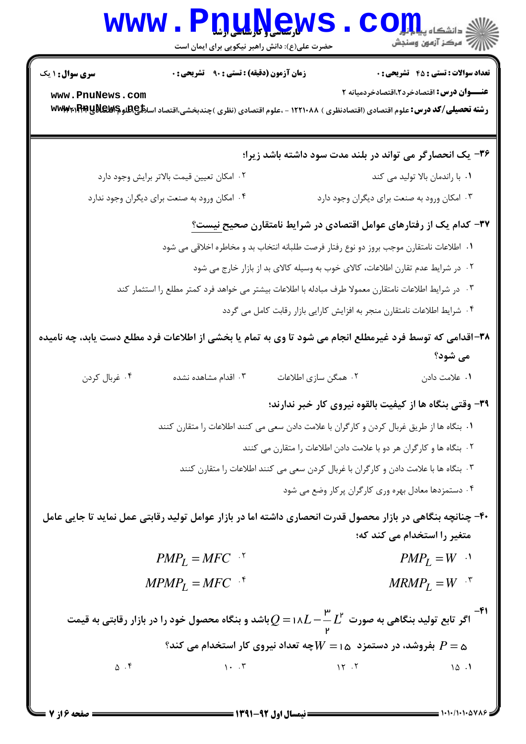## WWW.PnuNews.com أأزأت مركز آزمون وسنجش حضرت علی(ع): دانش راهبر نیکویی برای ایمان است **سری سوال :** ۱ یک **زمان آزمون (دقیقه) : تستی : ۹۰٪ تشریحی : 0 تعداد سوالات : تستی : 45 گشریحی : 0** عنــوان درس: اقتصادخرد2،اقتصادخردمیانه ٢ www.PnuNews.com رشته تحصیلی/کد درس: علوم اقتصادی (اقتصادنظری ) ۱۲۲۱۰۸۸ - ،علوم اقتصادی (نظری )چندبخشی،اقتصاد اسلالچ لیا بهایا www ۳۶- یک انحصارگر می تواند در بلند مدت سود داشته باشد زیرا؛ ۰۱ با راندمان بالا تولید می کند ۰۲ امکان تعیین قیمت بالاتر برایش وجود دارد ۰۴ امکان ورود به صنعت برای دیگران وجود ندارد ۰۳ امکان ورود به صنعت برای دیگران وجود دارد ۳۷– کدام یک از رفتارهای عوامل اقتصادی در شرایط نامتقارن صحیح نیست؟ ١. اطلاعات نامتقارن موجب بروز دو نوع رفتار فرصت طلبانه انتخاب بد و مخاطره اخلاقي مي شود <sup>۲</sup>۰ در شرایط عدم تقارن اطلاعات، کالای خوب به وسیله کالای بد از بازار خارج می شود ۰۳ در شرایط اطلاعات نامتقارن معمولا طرف مبادله با اطلاعات بیشتر می خواهد فرد کمتر مطلع را استثمار کند ۰۴ شرایط اطلاعات نامتقارن منجر به افزایش کارایی بازار رقابت کامل می گردد ۳۸-اقدامی که توسط فرد غیرمطلع انجام می شود تا وی به تمام یا بخشی از اطلاعات فرد مطلع دست یابد، چه نامیده می شود؟ ۰۴ غربال کردن ۰۳ اقدام مشاهده نشده ۲. همگن سازی اطلاعات ٠١. علامت دادن ۳۹- وقتی بنگاه ها از کیفیت بالقوه نیروی کار خبر ندارند؛ ١. بنگاه ها از طريق غربال كردن و كارگران با علامت دادن سعى مى كنند اطلاعات را متقارن كنند ٢. بنگاه ها و كارگران هر دو با علامت دادن اطلاعات را متقارن می كنند ۰۳ بنگاه ها با علامت دادن و کارگران با غربال کردن سعی می کنند اطلاعات را متقارن کنند ۰۴ دستمزدها معادل بهره وری کارگران پرکار وضع می شود ۴۰- چنانچه بنگاهی در بازار محصول قدرت انحصاری داشته اما در بازار عوامل تولید رقابتی عمل نماید تا جایی عامل متغیر را استخدام می کند که؛  $PMP_L = MFC$  $PMP_I = W$ <sup>.</sup>  $MRMP_I = W$  \*  $MPMP<sub>I</sub> = MFC$ <sup>\*</sup> م کا اگر تابع تولید بنگاهی به صورت  $L^{\mathsf{P}}$   $L-\lambda L-1$ ا $\mathcal{Q} = 0$  باشد و بنگاه محصول خود را در بازار رقابتی به قیمت $^{-\mathsf{P}}$ یفروشد، در دستمزد  $W=1$ چه تعداد نیروی کار استخدام می کند؟  $P=\infty$

 $1 - .7$  $15.7$  $10.1$ 

 $\Delta$ .۴